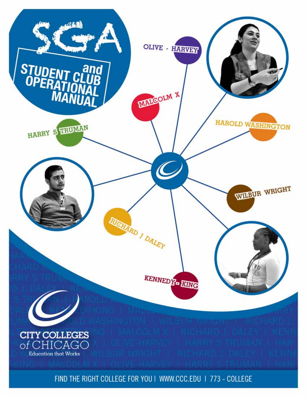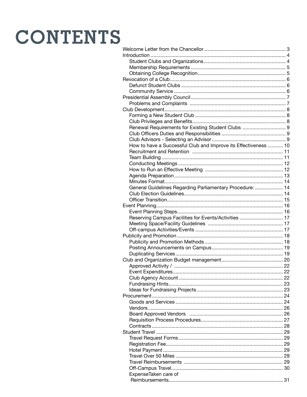# **CONTENTS**

| Introduction                                                    |  |
|-----------------------------------------------------------------|--|
|                                                                 |  |
|                                                                 |  |
|                                                                 |  |
|                                                                 |  |
|                                                                 |  |
|                                                                 |  |
|                                                                 |  |
|                                                                 |  |
|                                                                 |  |
|                                                                 |  |
|                                                                 |  |
| Renewal Requirements for Existing Student Clubs  9              |  |
|                                                                 |  |
|                                                                 |  |
| How to have a Successful Club and Improve its Effectiveness  10 |  |
|                                                                 |  |
|                                                                 |  |
|                                                                 |  |
|                                                                 |  |
|                                                                 |  |
|                                                                 |  |
| General Guidelines Regarding Parliamentary Procedure:  14       |  |
|                                                                 |  |
|                                                                 |  |
|                                                                 |  |
|                                                                 |  |
| Reserving Campus Facilities for Events/Activities  17           |  |
|                                                                 |  |
|                                                                 |  |
|                                                                 |  |
|                                                                 |  |
|                                                                 |  |
|                                                                 |  |
|                                                                 |  |
|                                                                 |  |
|                                                                 |  |
|                                                                 |  |
|                                                                 |  |
|                                                                 |  |
|                                                                 |  |
|                                                                 |  |
|                                                                 |  |
|                                                                 |  |
|                                                                 |  |
|                                                                 |  |
|                                                                 |  |
|                                                                 |  |
|                                                                 |  |
|                                                                 |  |
|                                                                 |  |
|                                                                 |  |
|                                                                 |  |
| ExpenseTaken care of                                            |  |
|                                                                 |  |
|                                                                 |  |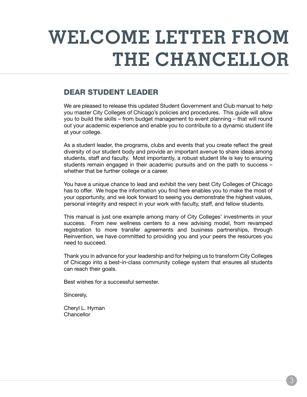# **Welcome Letter From The Chancellor**

# Dear Student Leader

We are pleased to release this updated Student Government and Club manual to help you master City Colleges of Chicago's policies and procedures. This guide will allow you to build the skills – from budget management to event planning – that will round out your academic experience and enable you to contribute to a dynamic student life at your college.

As a student leader, the programs, clubs and events that you create reflect the great diversity of our student body and provide an important avenue to share ideas among students, staff and faculty. Most importantly, a robust student life is key to ensuring students remain engaged in their academic pursuits and on the path to success – whether that be further college or a career.

You have a unique chance to lead and exhibit the very best City Colleges of Chicago has to offer. We hope the information you find here enables you to make the most of your opportunity, and we look forward to seeing you demonstrate the highest values, personal integrity and respect in your work with faculty, staff, and fellow students.

This manual is just one example among many of City Colleges' investments in your success. From new wellness centers to a new advising model, from revamped registration to more transfer agreements and business partnerships, through Reinvention, we have committed to providing you and your peers the resources you need to succeed.

Thank you in advance for your leadership and for helping us to transform City Colleges of Chicago into a best-in-class community college system that ensures all students can reach their goals.

Best wishes for a successful semester.

Sincerely,

Cheryl L. Hyman **Chancellor**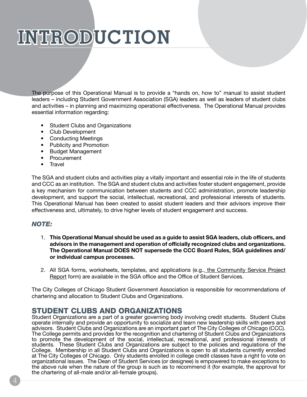# **Introduction**

The purpose of this Operational Manual is to provide a "hands on, how to" manual to assist student leaders – including Student Government Association (SGA) leaders as well as leaders of student clubs and activities – in planning and maximizing operational effectiveness. The Operational Manual provides essential information regarding:

- Student Clubs and Organizations
- Club Development
- Conducting Meetings
- Publicity and Promotion
- Budget Management
- Procurement
- Travel

The SGA and student clubs and activities play a vitally important and essential role in the life of students and CCC as an institution. The SGA and student clubs and activities foster student engagement, provide a key mechanism for communication between students and CCC administration, promote leadership development, and support the social, intellectual, recreational, and professional interests of students. This Operational Manual has been created to assist student leaders and their advisors improve their effectiveness and, ultimately, to drive higher levels of student engagement and success.

## *NOTE:*

- 1. **This Operational Manual should be used as a guide to assist SGA leaders, club officers, and advisors in the management and operation of officially recognized clubs and organizations. The Operational Manual DOES NOT supersede the CCC Board Rules, SGA guidelines and/ or individual campus processes.**
- 2. All SGA forms, worksheets, templates, and applications (e.g., the Community Service Project Report form) are available in the SGA office and the Office of Student Services.

The City Colleges of Chicago Student Government Association is responsible for recommendations of chartering and allocation to Student Clubs and Organizations.

# Student Clubs and Organizations

Student Organizations are a part of a greater governing body involving credit students. Student Clubs operate internally and provide an opportunity to socialize and learn new leadership skills with peers and advisors. Student Clubs and Organizations are an important part of The City Colleges of Chicago (CCC). The College permits and provides for the recognition and chartering of Student Clubs and Organizations to promote the development of the social, intellectual, recreational, and professional interests of students. These Student Clubs and Organizations are subject to the policies and regulations of the College. Membership in all Student Clubs and Organizations is open to all students currently enrolled at The City Colleges of Chicago. Only students enrolled in college credit classes have a right to vote on organizational issues. The Dean of Student Services (or designee) is empowered to make exceptions to the above rule when the nature of the group is such as to recommend it (for example, the approval for the chartering of all-male and/or all-female groups).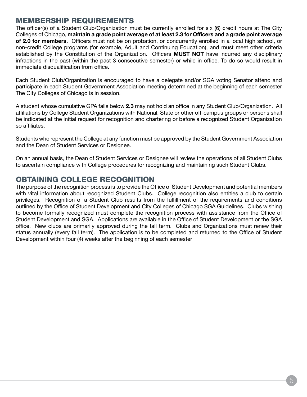## Membership Requirements

The officer(s) of a Student Club/Organization must be currently enrolled for six (6) credit hours at The City Colleges of Chicago, **maintain a grade point average of at least 2.3 for Officers and a grade point average of 2.0 for members.** Officers must not be on probation, or concurrently enrolled in a local high school, or non-credit College programs (for example, Adult and Continuing Education), and must meet other criteria established by the Constitution of the Organization. Officers **MUST NOT** have incurred any disciplinary infractions in the past (within the past 3 consecutive semester) or while in office. To do so would result in immediate disqualification from office.

Each Student Club/Organization is encouraged to have a delegate and/or SGA voting Senator attend and participate in each Student Government Association meeting determined at the beginning of each semester The City Colleges of Chicago is in session.

A student whose cumulative GPA falls below **2.3** may not hold an office in any Student Club/Organization. All affiliations by College Student Organizations with National, State or other off-campus groups or persons shall be indicated at the initial request for recognition and chartering or before a recognized Student Organization so affiliates.

Students who represent the College at any function must be approved by the Student Government Association and the Dean of Student Services or Designee.

On an annual basis, the Dean of Student Services or Designee will review the operations of all Student Clubs to ascertain compliance with College procedures for recognizing and maintaining such Student Clubs.

# Obtaining College Recognition

The purpose of the recognition process is to provide the Office of Student Development and potential members with vital information about recognized Student Clubs. College recognition also entitles a club to certain privileges. Recognition of a Student Club results from the fulfillment of the requirements and conditions outlined by the Office of Student Development and City Colleges of Chicago SGA Guidelines. Clubs wishing to become formally recognized must complete the recognition process with assistance from the Office of Student Development and SGA. Applications are available in the Office of Student Development or the SGA office. New clubs are primarily approved during the fall term. Clubs and Organizations must renew their status annually (every fall term). The application is to be completed and returned to the Office of Student Development within four (4) weeks after the beginning of each semester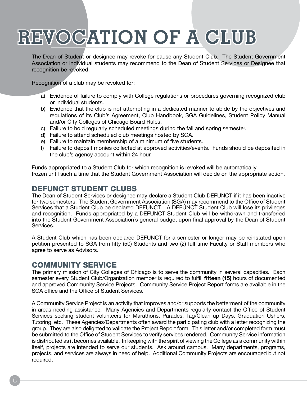# **Revocation of a club**

The Dean of Student or designee may revoke for cause any Student Club. The Student Government Association or individual students may recommend to the Dean of Student Services or Designee that recognition be revoked.

Recognition of a club may be revoked for:

- a) Evidence of failure to comply with College regulations or procedures governing recognized club or individual students.
- b) Evidence that the club is not attempting in a dedicated manner to abide by the objectives and regulations of its Club's Agreement, Club Handbook, SGA Guidelines, Student Policy Manual and/or City Colleges of Chicago Board Rules.
- c) Failure to hold regularly scheduled meetings during the fall and spring semester.
- d) Failure to attend scheduled club meetings hosted by SGA.
- e) Failure to maintain membership of a minimum of five students.
- f) Failure to deposit monies collected at approved activities/events. Funds should be deposited in the club's agency account within 24 hour.

Funds appropriated to a Student Club for which recognition is revoked will be automatically frozen until such a time that the Student Government Association will decide on the appropriate action.

# Defunct Student Clubs

The Dean of Student Services or designee may declare a Student Club DEFUNCT if it has been inactive for two semesters. The Student Government Association (SGA) may recommend to the Office of Student Services that a Student Club be declared DEFUNCT. A DEFUNCT Student Club will lose its privileges and recognition. Funds appropriated by a DEFUNCT Student Club will be withdrawn and transferred into the Student Government Association's general budget upon final approval by the Dean of Student Services.

A Student Club which has been declared DEFUNCT for a semester or longer may be reinstated upon petition presented to SGA from fifty (50) Students and two (2) full-time Faculty or Staff members who agree to serve as Advisors.

## Community Service

The primary mission of City Colleges of Chicago is to serve the community in several capacities. Each semester every Student Club/Organization member is required to fulfill **fifteen (15)** hours of documented and approved Community Service Projects. Community Service Project Report forms are available in the SGA office and the Office of Student Services.

A Community Service Project is an activity that improves and/or supports the betterment of the community in areas needing assistance. Many Agencies and Departments regularly contact the Office of Student Services seeking student volunteers for Marathons, Parades, Tag/Clean up Days, Graduation Ushers, Tutoring, etc. These Agencies/Departments often award the participating club with a letter recognizing the group. They are also delighted to validate the Project Report form. This letter and/or completed form must be submitted to the Office of Student Services to verify services rendered. Community Service information is distributed as it becomes available. In keeping with the spirit of viewing the College as a community within itself, projects are intended to serve our students. Ask around campus. Many departments, programs, projects, and services are always in need of help. Additional Community Projects are encouraged but not required.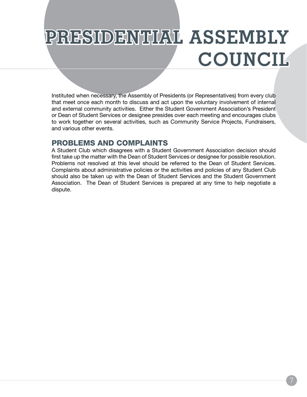# **Presidential Assembly Council**

Instituted when necessary, the Assembly of Presidents (or Representatives) from every club that meet once each month to discuss and act upon the voluntary involvement of internal and external community activities. Either the Student Government Association's President or Dean of Student Services or designee presides over each meeting and encourages clubs to work together on several activities, such as Community Service Projects, Fundraisers, and various other events.

# Problems and Complaints

A Student Club which disagrees with a Student Government Association decision should first take up the matter with the Dean of Student Services or designee for possible resolution. Problems not resolved at this level should be referred to the Dean of Student Services. Complaints about administrative policies or the activities and policies of any Student Club should also be taken up with the Dean of Student Services and the Student Government Association. The Dean of Student Services is prepared at any time to help negotiate a dispute.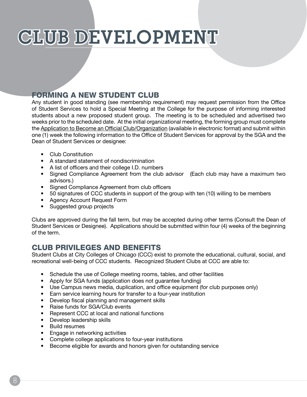# CLUB DEVELOPMENT

# Forming a New Student Club

Any student in good standing (see membership requirement) may request permission from the Office of Student Services to hold a Special Meeting at the College for the purpose of informing interested students about a new proposed student group. The meeting is to be scheduled and advertised two weeks prior to the scheduled date. At the initial organizational meeting, the forming group must complete the Application to Become an Official Club/Organization (available in electronic format) and submit within one (1) week the following information to the Office of Student Services for approval by the SGA and the Dean of Student Services or designee:

- Club Constitution
- A standard statement of nondiscrimination
- A list of officers and their college I.D. numbers
- Signed Compliance Agreement from the club advisor (Each club may have a maximum two advisors.)
- Signed Compliance Agreement from club officers
- 50 signatures of CCC students in support of the group with ten (10) willing to be members
- Agency Account Request Form
- Suggested group projects

Clubs are approved during the fall term, but may be accepted during other terms (Consult the Dean of Student Services or Designee). Applications should be submitted within four (4) weeks of the beginning of the term.

# Club Privileges and Benefits

Student Clubs at City Colleges of Chicago (CCC) exist to promote the educational, cultural, social, and recreational well-being of CCC students. Recognized Student Clubs at CCC are able to:

- Schedule the use of College meeting rooms, tables, and other facilities
- Apply for SGA funds (application does not guarantee funding)
- Use Campus news media, duplication, and office equipment (for club purposes only)
- Earn service learning hours for transfer to a four-year institution
- Develop fiscal planning and management skills
- Raise funds for SGA/Club events
- Represent CCC at local and national functions
- Develop leadership skills
- Build resumes
- Engage in networking activities
- Complete college applications to four-year institutions
- Become eligible for awards and honors given for outstanding service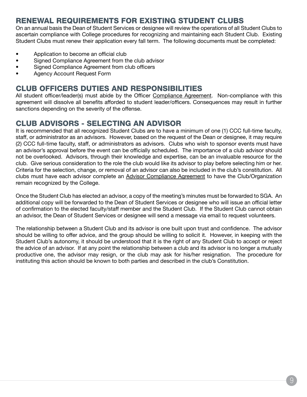# Renewal Requirements for Existing Student Clubs

On an annual basis the Dean of Student Services or designee will review the operations of all Student Clubs to ascertain compliance with College procedures for recognizing and maintaining each Student Club. Existing Student Clubs must renew their application every fall term. The following documents must be completed:

- Application to become an official club
- Signed Compliance Agreement from the club advisor
- Signed Compliance Agreement from club officers
- Agency Account Request Form

# Club Officers Duties and Responsibilities

All student officer/leader(s) must abide by the Officer Compliance Agreement. Non-compliance with this agreement will dissolve all benefits afforded to student leader/officers. Consequences may result in further sanctions depending on the severity of the offense.

# Club Advisors - Selecting an Advisor

It is recommended that all recognized Student Clubs are to have a minimum of one (1) CCC full-time faculty, staff, or administrator as an advisors. However, based on the request of the Dean or designee, it may require (2) CCC full-time faculty, staff, or administrators as advisors. Clubs who wish to sponsor events must have an advisor's approval before the event can be officially scheduled. The importance of a club advisor should not be overlooked. Advisors, through their knowledge and expertise, can be an invaluable resource for the club. Give serious consideration to the role the club would like its advisor to play before selecting him or her. Criteria for the selection, change, or removal of an advisor can also be included in the club's constitution. All clubs must have each advisor complete an Advisor Compliance Agreement to have the Club/Organization remain recognized by the College.

Once the Student Club has elected an advisor, a copy of the meeting's minutes must be forwarded to SGA. An additional copy will be forwarded to the Dean of Student Services or designee who will issue an official letter of confirmation to the elected faculty/staff member and the Student Club. If the Student Club cannot obtain an advisor, the Dean of Student Services or designee will send a message via email to request volunteers.

The relationship between a Student Club and its advisor is one built upon trust and confidence. The advisor should be willing to offer advice, and the group should be willing to solicit it. However, in keeping with the Student Club's autonomy, it should be understood that it is the right of any Student Club to accept or reject the advice of an advisor. If at any point the relationship between a club and its advisor is no longer a mutually productive one, the advisor may resign, or the club may ask for his/her resignation. The procedure for instituting this action should be known to both parties and described in the club's Constitution.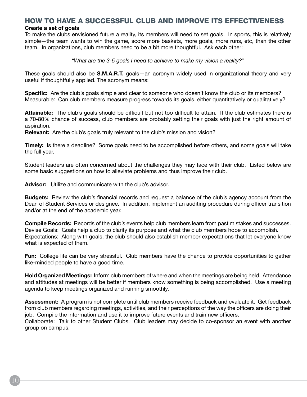## How to have a Successful Club and Improve its Effectiveness

#### **Create a set of goals**

To make the clubs envisioned future a reality, its members will need to set goals. In sports, this is relatively simple—the team wants to win the game, score more baskets, more goals, more runs, etc, than the other team. In organizations, club members need to be a bit more thoughtful. Ask each other:

*"What are the 3-5 goals I need to achieve to make my vision a reality?"*

These goals should also be **S.M.A.R.T.** goals—an acronym widely used in organizational theory and very useful if thoughtfully applied. The acronym means:

**Specific:** Are the club's goals simple and clear to someone who doesn't know the club or its members? Measurable: Can club members measure progress towards its goals, either quantitatively or qualitatively?

**Attainable:** The club's goals should be difficult but not too difficult to attain. If the club estimates there is a 70-80% chance of success, club members are probably setting their goals with just the right amount of aspiration.

**Relevant:** Are the club's goals truly relevant to the club's mission and vision?

**Timely:** Is there a deadline? Some goals need to be accomplished before others, and some goals will take the full year.

Student leaders are often concerned about the challenges they may face with their club. Listed below are some basic suggestions on how to alleviate problems and thus improve their club.

**Advisor:** Utilize and communicate with the club's advisor.

**Budgets:** Review the club's financial records and request a balance of the club's agency account from the Dean of Student Services or designee. In addition, implement an auditing procedure during officer transition and/or at the end of the academic year.

**Compile Records:** Records of the club's events help club members learn from past mistakes and successes. Devise Goals: Goals help a club to clarify its purpose and what the club members hope to accomplish. Expectations: Along with goals, the club should also establish member expectations that let everyone know what is expected of them.

**Fun:** College life can be very stressful. Club members have the chance to provide opportunities to gather like-minded people to have a good time.

**Hold Organized Meetings:** Inform club members of where and when the meetings are being held. Attendance and attitudes at meetings will be better if members know something is being accomplished. Use a meeting agenda to keep meetings organized and running smoothly.

**Assessment:** A program is not complete until club members receive feedback and evaluate it. Get feedback from club members regarding meetings, activities, and their perceptions of the way the officers are doing their job. Compile the information and use it to improve future events and train new officers. Collaborate: Talk to other Student Clubs. Club leaders may decide to co-sponsor an event with another group on campus.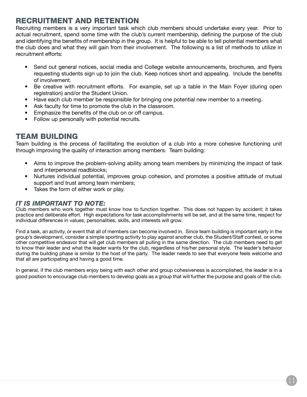# Recruitment and Retention

Recruiting members is a very important task which club members should undertake every year. Prior to actual recruitment, spend some time with the club's current membership, defining the purpose of the club and identifying the benefits of membership in the group. It is helpful to be able to tell potential members what the club does and what they will gain from their involvement. The following is a list of methods to utilize in recruitment efforts:

- Send out general notices, social media and College website announcements, brochures, and flyers requesting students sign up to join the club. Keep notices short and appealing. Include the benefits of involvement.
- Be creative with recruitment efforts. For example, set up a table in the Main Foyer (during open registration) and/or the Student Union.
- Have each club member be responsible for bringing one potential new member to a meeting.
- Ask faculty for time to promote the club in the classroom.
- Emphasize the benefits of the club on or off campus.
- Follow up personally with potential recruits.

# Team Building

Team building is the process of facilitating the evolution of a club into a more cohesive functioning unit through improving the quality of interaction among members. Team building:

- Aims to improve the problem-solving ability among team members by minimizing the impact of task and interpersonal roadblocks;
- Nurtures individual potential, improves group cohesion, and promotes a positive attitude of mutual support and trust among team members;
- Takes the form of either work or play.

## *It is Important to note:*

Club members who work together must know how to function together. This does not happen by accident; it takes practice and deliberate effort. High expectations for task accomplishments will be set, and at the same time, respect for individual differences in values, personalities, skills, and interests will grow.

Find a task, an activity, or event that all of members can become involved in. Since team building is important early in the group's development, consider a simple sporting activity to play against another club, the Student/Staff contest, or some other competitive endeavor that will get club members all pulling in the same direction. The club members need to get to know their leader and what the leader wants for the club, regardless of his/her personal style. The leader's behavior during the building phase is similar to the host of the party. The leader needs to see that everyone feels welcome and that all are participating and having a good time.

In general, if the club members enjoy being with each other and group cohesiveness is accomplished, the leader is in a good position to encourage club members to develop goals as a group that will further the purpose and goals of the club.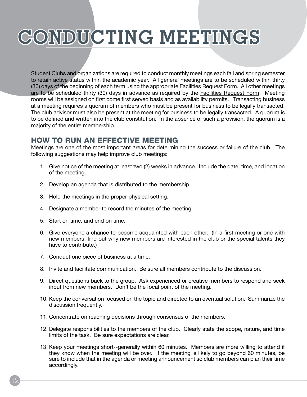# **Conducting Meetings**

Student Clubs and organizations are required to conduct monthly meetings each fall and spring semester to retain active status within the academic year. All general meetings are to be scheduled within thirty (30) days of the beginning of each term using the appropriate Facilities Request Form. All other meetings are to be scheduled thirty (30) days in advance as required by the **Facilities Request Form.** Meeting rooms will be assigned on first come first served basis and as availability permits. Transacting business at a meeting requires a quorum of members who must be present for business to be legally transacted. The club advisor must also be present at the meeting for business to be legally transacted. A quorum is to be defined and written into the club constitution. In the absence of such a provision, the quorum is a majority of the entire membership.

## How to Run an Effective Meeting

Meetings are one of the most important areas for determining the success or failure of the club. The following suggestions may help improve club meetings:

- 1. Give notice of the meeting at least two (2) weeks in advance. Include the date, time, and location of the meeting.
- 2. Develop an agenda that is distributed to the membership.
- 3. Hold the meetings in the proper physical setting.
- 4. Designate a member to record the minutes of the meeting.
- 5. Start on time, and end on time.
- 6. Give everyone a chance to become acquainted with each other. (In a first meeting or one with new members, find out why new members are interested in the club or the special talents they have to contribute.)
- 7. Conduct one piece of business at a time.
- 8. Invite and facilitate communication. Be sure all members contribute to the discussion.
- 9. Direct questions back to the group. Ask experienced or creative members to respond and seek input from new members. Don't be the focal point of the meeting.
- 10. Keep the conversation focused on the topic and directed to an eventual solution. Summarize the discussion frequently.
- 11. Concentrate on reaching decisions through consensus of the members.
- 12. Delegate responsibilities to the members of the club. Clearly state the scope, nature, and time limits of the task. Be sure expectations are clear.
- 13. Keep your meetings short--generally within 60 minutes. Members are more willing to attend if they know when the meeting will be over. If the meeting is likely to go beyond 60 minutes, be sure to include that in the agenda or meeting announcement so club members can plan their time accordingly.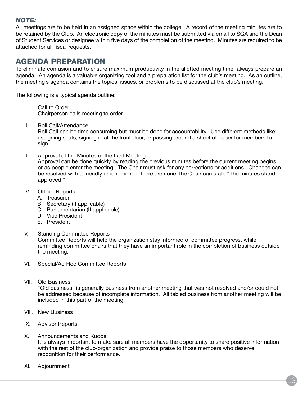## *NOTE:*

All meetings are to be held in an assigned space within the college. A record of the meeting minutes are to be retained by the Club. An electronic copy of the minutes must be submitted via email to SGA and the Dean of Student Services or designee within five days of the completion of the meeting. Minutes are required to be attached for all fiscal requests.

# Agenda Preparation

To eliminate confusion and to ensure maximum productivity in the allotted meeting time, always prepare an agenda. An agenda is a valuable organizing tool and a preparation list for the club's meeting. As an outline, the meeting's agenda contains the topics, issues, or problems to be discussed at the club's meeting.

The following is a typical agenda outline:

- I. Call to Order Chairperson calls meeting to order
- II. Roll Call/Attendance Roll Call can be time consuming but must be done for accountability. Use different methods like: assigning seats, signing in at the front door, or passing around a sheet of paper for members to sign.
- III. Approval of the Minutes of the Last Meeting

Approval can be done quickly by reading the previous minutes before the current meeting begins or as people enter the meeting. The Chair must ask for any corrections or additions. Changes can be resolved with a friendly amendment; if there are none, the Chair can state "The minutes stand approved."

- IV. Officer Reports
	- A. Treasurer
	- B. Secretary (If applicable)
	- C. Parliamentarian (If applicable)
	- D. Vice President
	- E. President
- V. Standing Committee Reports

Committee Reports will help the organization stay informed of committee progress, while reminding committee chairs that they have an important role in the completion of business outside the meeting.

- VI. Special/Ad Hoc Committee Reports
- VII. Old Business

"Old business" is generally business from another meeting that was not resolved and/or could not be addressed because of incomplete information. All tabled business from another meeting will be included in this part of the meeting.

- VIII. New Business
- IX. Advisor Reports
- X. Announcements and Kudos It is always important to make sure all members have the opportunity to share positive information with the rest of the club/organization and provide praise to those members who deserve recognition for their performance.
- XI. Adjournment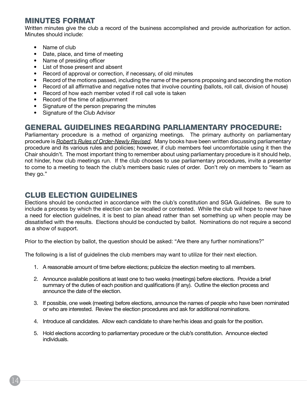# Minutes Format

Written minutes give the club a record of the business accomplished and provide authorization for action. Minutes should include:

- Name of club
- Date, place, and time of meeting
- Name of presiding officer
- List of those present and absent
- Record of approval or correction, if necessary, of old minutes
- Record of the motions passed, including the name of the persons proposing and seconding the motion
- Record of all affirmative and negative notes that involve counting (ballots, roll call, division of house)
- Record of how each member voted if roll call vote is taken
- Record of the time of adjournment
- Signature of the person preparing the minutes
- Signature of the Club Advisor

# General Guidelines Regarding Parliamentary Procedure:

Parliamentary procedure is a method of organizing meetings. The primary authority on parliamentary procedure is *Robert's Rules of Order-Newly Revised*. Many books have been written discussing parliamentary procedure and its various rules and policies; however, if club members feel uncomfortable using it then the Chair shouldn't. The most important thing to remember about using parliamentary procedure is it should help, not hinder, how club meetings run. If the club chooses to use parliamentary procedures, invite a presenter to come to a meeting to teach the club's members basic rules of order. Don't rely on members to "learn as they go."

# Club Election Guidelines

Elections should be conducted in accordance with the club's constitution and SGA Guidelines. Be sure to include a process by which the election can be recalled or contested. While the club will hope to never have a need for election guidelines, it is best to plan ahead rather than set something up when people may be dissatisfied with the results. Elections should be conducted by ballot. Nominations do not require a second as a show of support.

Prior to the election by ballot, the question should be asked: "Are there any further nominations?"

The following is a list of guidelines the club members may want to utilize for their next election.

- 1. A reasonable amount of time before elections; publicize the election meeting to all members.
- 2. Announce available positions at least one to two weeks (meetings) before elections. Provide a brief summary of the duties of each position and qualifications (if any). Outline the election process and announce the date of the election.
- 3. If possible, one week (meeting) before elections, announce the names of people who have been nominated or who are interested. Review the election procedures and ask for additional nominations.
- 4. Introduce all candidates. Allow each candidate to share her/his ideas and goals for the position.
- 5. Hold elections according to parliamentary procedure or the club's constitution. Announce elected individuals.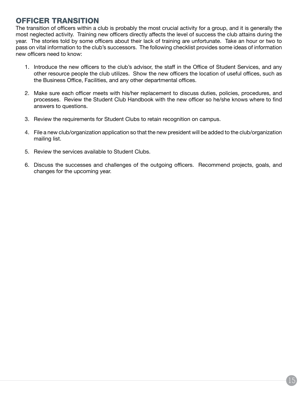# Officer Transition

The transition of officers within a club is probably the most crucial activity for a group, and it is generally the most neglected activity. Training new officers directly affects the level of success the club attains during the year. The stories told by some officers about their lack of training are unfortunate. Take an hour or two to pass on vital information to the club's successors. The following checklist provides some ideas of information new officers need to know:

- 1. Introduce the new officers to the club's advisor, the staff in the Office of Student Services, and any other resource people the club utilizes. Show the new officers the location of useful offices, such as the Business Office, Facilities, and any other departmental offices.
- 2. Make sure each officer meets with his/her replacement to discuss duties, policies, procedures, and processes. Review the Student Club Handbook with the new officer so he/she knows where to find answers to questions.
- 3. Review the requirements for Student Clubs to retain recognition on campus.
- 4. File a new club/organization application so that the new president will be added to the club/organization mailing list.
- 5. Review the services available to Student Clubs.
- 6. Discuss the successes and challenges of the outgoing officers. Recommend projects, goals, and changes for the upcoming year.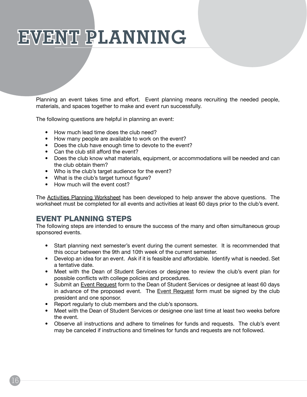# **Event Planning**

Planning an event takes time and effort. Event planning means recruiting the needed people, materials, and spaces together to make and event run successfully.

The following questions are helpful in planning an event:

- How much lead time does the club need?
- How many people are available to work on the event?
- Does the club have enough time to devote to the event?
- Can the club still afford the event?
- Does the club know what materials, equipment, or accommodations will be needed and can the club obtain them?
- Who is the club's target audience for the event?
- What is the club's target turnout figure?
- How much will the event cost?

The Activities Planning Worksheet has been developed to help answer the above questions. The worksheet must be completed for all events and activities at least 60 days prior to the club's event.

# Event Planning Steps

The following steps are intended to ensure the success of the many and often simultaneous group sponsored events.

- Start planning next semester's event during the current semester. It is recommended that this occur between the 9th and 10th week of the current semester.
- Develop an idea for an event. Ask if it is feasible and affordable. Identify what is needed. Set a tentative date.
- Meet with the Dean of Student Services or designee to review the club's event plan for possible conflicts with college policies and procedures.
- Submit an Event Request form to the Dean of Student Services or designee at least 60 days in advance of the proposed event. The **Event Request** form must be signed by the club president and one sponsor.
- Report regularly to club members and the club's sponsors.
- Meet with the Dean of Student Services or designee one last time at least two weeks before the event.
- Observe all instructions and adhere to timelines for funds and requests. The club's event may be canceled if instructions and timelines for funds and requests are not followed.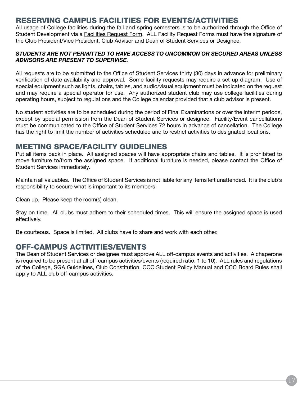# Reserving Campus Facilities for Events/Activities

All usage of College facilities during the fall and spring semesters is to be authorized through the Office of Student Development via a Facilities Request Form. ALL Facility Request Forms must have the signature of the Club President/Vice President, Club Advisor and Dean of Student Services or Designee.

### *STUDENTS ARE NOT PERMITTED TO HAVE ACCESS TO UNCOMMON OR SECURED AREAS UNLESS ADVISORS ARE PRESENT TO SUPERVISE.*

All requests are to be submitted to the Office of Student Services thirty (30) days in advance for preliminary verification of date availability and approval. Some facility requests may require a set-up diagram. Use of special equipment such as lights, chairs, tables, and audio/visual equipment must be indicated on the request and may require a special operator for use. Any authorized student club may use college facilities during operating hours, subject to regulations and the College calendar provided that a club advisor is present.

No student activities are to be scheduled during the period of Final Examinations or over the interim periods, except by special permission from the Dean of Student Services or designee. Facility/Event cancellations must be communicated to the Office of Student Services 72 hours in advance of cancellation. The College has the right to limit the number of activities scheduled and to restrict activities to designated locations.

# Meeting Space/Facility Guidelines

Put all items back in place. All assigned spaces will have appropriate chairs and tables. It is prohibited to move furniture to/from the assigned space. If additional furniture is needed, please contact the Office of Student Services immediately.

Maintain all valuables. The Office of Student Services is not liable for any items left unattended. It is the club's responsibility to secure what is important to its members.

Clean up. Please keep the room(s) clean.

Stay on time. All clubs must adhere to their scheduled times. This will ensure the assigned space is used effectively.

Be courteous. Space is limited. All clubs have to share and work with each other.

## Off-campus Activities/Events

The Dean of Student Services or designee must approve ALL off-campus events and activities. A chaperone is required to be present at all off-campus activities/events (required ratio: 1 to 10). ALL rules and regulations of the College, SGA Guidelines, Club Constitution, CCC Student Policy Manual and CCC Board Rules shall apply to ALL club off-campus activities.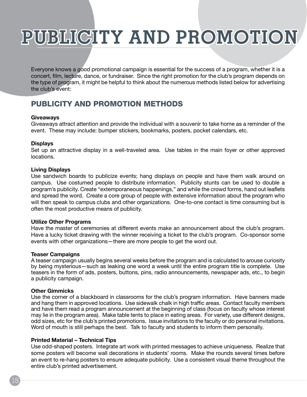# **Publicity and promotion**

Everyone knows a good promotional campaign is essential for the success of a program, whether it is a concert, film, lecture, dance, or fundraiser. Since the right promotion for the club's program depends on the type of program, it might be helpful to think about the numerous methods listed below for advertising the club's event:

# Publicity and Promotion Methods

#### **Giveaways**

Giveaways attract attention and provide the individual with a souvenir to take home as a reminder of the event. These may include: bumper stickers, bookmarks, posters, pocket calendars, etc.

#### **Displays**

Set up an attractive display in a well-traveled area. Use tables in the main foyer or other approved locations.

#### **Living Displays**

Use sandwich boards to publicize events; hang displays on people and have them walk around on campus. Use costumed people to distribute information. Publicity stunts can be used to double a program's publicity. Create "extemporaneous happenings," and while the crowd forms, hand out leaflets and spread the word. Create a core group of people with extensive information about the program who will then speak to campus clubs and other organizations. One-to-one contact is time consuming but is often the most productive means of publicity.

#### **Utilize Other Programs**

Have the master of ceremonies at different events make an announcement about the club's program. Have a lucky ticket drawing with the winner receiving a ticket to the club's program. Co-sponsor some events with other organizations—there are more people to get the word out.

#### **Teaser Campaigns**

A teaser campaign usually begins several weeks before the program and is calculated to arouse curiosity by being mysterious—such as leaking one word a week until the entire program title is complete. Use teasers in the form of ads, posters, buttons, pins, radio announcements, newspaper ads, etc., to begin a publicity campaign.

## **Other Gimmicks**

Use the corner of a blackboard in classrooms for the club's program information. Have banners made and hang them in approved locations. Use sidewalk chalk in high traffic areas. Contact faculty members and have them read a program announcement at the beginning of class (focus on faculty whose interest may lie in the program area). Make table tents to place in eating areas. For variety, use different designs, odd sizes, etc for the club's printed promotions. Issue invitations to the faculty or do personal invitations. Word of mouth is still perhaps the best. Talk to faculty and students to inform them personally.

## **Printed Material – Technical Tips**

Use odd-shaped posters. Integrate art work with printed messages to achieve uniqueness. Realize that some posters will become wall decorations in students' rooms. Make the rounds several times before an event to re-hang posters to ensure adequate publicity. Use a consistent visual theme throughout the entire club's printed advertisement.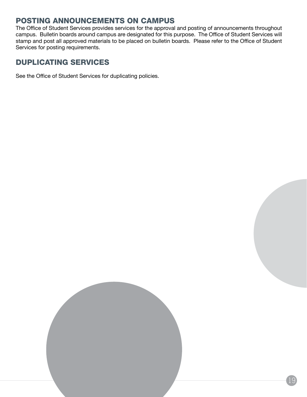# Posting Announcements on Campus

The Office of Student Services provides services for the approval and posting of announcements throughout campus. Bulletin boards around campus are designated for this purpose. The Office of Student Services will stamp and post all approved materials to be placed on bulletin boards. Please refer to the Office of Student Services for posting requirements.

# Duplicating Services

See the Office of Student Services for duplicating policies.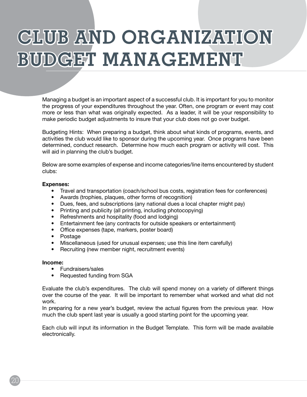# **Club and Organization BUDGET MANAGEMENT**

Managing a budget is an important aspect of a successful club. It is important for you to monitor the progress of your expenditures throughout the year. Often, one program or event may cost more or less than what was originally expected. As a leader, it will be your responsibility to make periodic budget adjustments to insure that your club does not go over budget.

Budgeting Hints: When preparing a budget, think about what kinds of programs, events, and activities the club would like to sponsor during the upcoming year. Once programs have been determined, conduct research. Determine how much each program or activity will cost. This will aid in planning the club's budget.

Below are some examples of expense and income categories/line items encountered by student clubs:

#### **Expenses:**

- Travel and transportation (coach/school bus costs, registration fees for conferences)
- Awards (trophies, plaques, other forms of recognition)
- Dues, fees, and subscriptions (any national dues a local chapter might pay)
- Printing and publicity (all printing, including photocopying)
- Refreshments and hospitality (food and lodging)
- Entertainment fee (any contracts for outside speakers or entertainment)
- Office expenses (tape, markers, poster board)
- Postage
- Miscellaneous (used for unusual expenses; use this line item carefully)
- Recruiting (new member night, recruitment events)

#### **Income:**

- Fundraisers/sales
- Requested funding from SGA

Evaluate the club's expenditures. The club will spend money on a variety of different things over the course of the year. It will be important to remember what worked and what did not work.

In preparing for a new year's budget, review the actual figures from the previous year. How much the club spent last year is usually a good starting point for the upcoming year.

Each club will input its information in the Budget Template. This form will be made available electronically.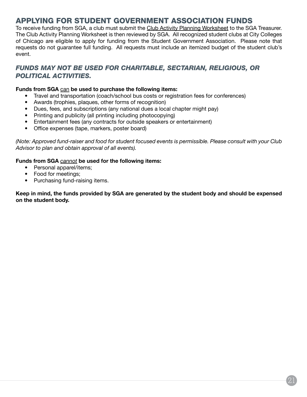# Applying for Student Government Association Funds

To receive funding from SGA, a club must submit the Club Activity Planning Worksheet to the SGA Treasurer. The Club Activity Planning Worksheet is then reviewed by SGA. All recognized student clubs at City Colleges of Chicago are eligible to apply for funding from the Student Government Association. Please note that requests do not guarantee full funding. All requests must include an itemized budget of the student club's event.

## *FUNDS MAY NOT BE USED FOR CHARITABLE, SECTARIAN, RELIGIOUS, OR POLITICAL ACTIVITIES.*

#### **Funds from SGA** can **be used to purchase the following items:**

- Travel and transportation (coach/school bus costs or registration fees for conferences)
- Awards (trophies, plaques, other forms of recognition)
- Dues, fees, and subscriptions (any national dues a local chapter might pay)
- Printing and publicity (all printing including photocopying)
- Entertainment fees (any contracts for outside speakers or entertainment)
- Office expenses (tape, markers, poster board)

*(Note: Approved fund-raiser and food for student focused events is permissible. Please consult with your Club Advisor to plan and obtain approval of all events).* 

## **Funds from SGA** *cannot* **be used for the following items:**

- Personal apparel/items;
- Food for meetings;
- Purchasing fund-raising items.

**Keep in mind, the funds provided by SGA are generated by the student body and should be expensed on the student body.**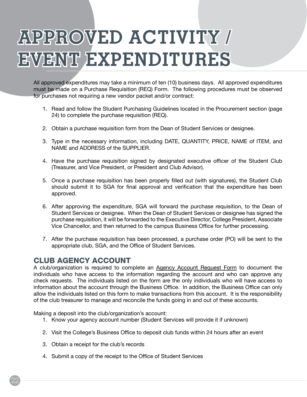# **Approved Activity / Event Expenditures**

All approved expenditures may take a minimum of ten (10) business days. All approved expenditures must be made on a Purchase Requisition (REQ) Form. The following procedures must be observed for purchases not requiring a new vendor packet and/or contract:

- 1. Read and follow the Student Purchasing Guidelines located in the Procurement section (page 24) to complete the purchase requisition (REQ).
- 2. Obtain a purchase requisition form from the Dean of Student Services or designee.
- 3. Type in the necessary information, including DATE, QUANTITY, PRICE, NAME of ITEM, and NAME and ADDRESS of the SUPPLIER.
- 4. Have the purchase requisition signed by designated executive officer of the Student Club (Treasurer, and Vice President, or President and Club Advisor).
- 5. Once a purchase requisition has been properly filled out (with signatures), the Student Club should submit it to SGA for final approval and verification that the expenditure has been approved.
- 6. After approving the expenditure, SGA will forward the purchase requisition, to the Dean of Student Services or designee. When the Dean of Student Services or designee has signed the purchase requisition, it will be forwarded to the Executive Director, College President, Associate Vice Chancellor, and then returned to the campus Business Office for further processing.
- 7. After the purchase requisition has been processed, a purchase order (PO) will be sent to the appropriate club, SGA, and the Office of Student Services.

## Club Agency Account

A club/organization is required to complete an Agency Account Request Form to document the individuals who have access to the information regarding the account and who can approve any check requests. The individuals listed on the form are the only individuals who will have access to information about the account through the Business Office. In addition, the Business Office can only allow the individuals listed on this form to make transactions from this account. It is the responsibility of the club treasurer to manage and reconcile the funds going in and out of these accounts.

Making a deposit into the club/organization's account:

- 1. Know your agency account number (Student Services will provide it if unknown)
- 2. Visit the College's Business Office to deposit club funds within 24 hours after an event
- 3. Obtain a receipt for the club's records
- 4. Submit a copy of the receipt to the Office of Student Services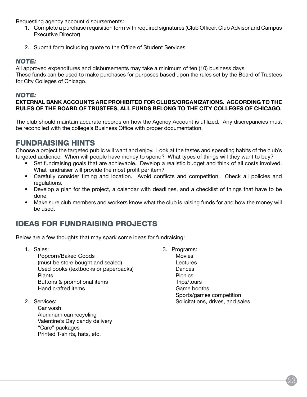Requesting agency account disbursements:

- 1. Complete a purchase requisition form with required signatures (Club Officer, Club Advisor and Campus Executive Director)
- 2. Submit form including quote to the Office of Student Services

## *NOTE:*

All approved expenditures and disbursements may take a minimum of ten (10) business days These funds can be used to make purchases for purposes based upon the rules set by the Board of Trustees for City Colleges of Chicago.

## *NOTE:*

## **EXTERNAL BANK ACCOUNTS ARE PROHIBITED FOR CLUBS/ORGANIZATIONS. ACCORDING TO THE RULES OF THE BOARD OF TRUSTEES, ALL FUNDS BELONG TO THE CITY COLLEGES OF CHICAGO.**

The club should maintain accurate records on how the Agency Account is utilized. Any discrepancies must be reconciled with the college's Business Office with proper documentation.

# Fundraising Hints

Choose a project the targeted public will want and enjoy. Look at the tastes and spending habits of the club's targeted audience. When will people have money to spend? What types of things will they want to buy?

- Set fundraising goals that are achievable. Develop a realistic budget and think of all costs involved. What fundraiser will provide the most profit per item?
- Carefully consider timing and location. Avoid conflicts and competition. Check all policies and regulations.
- Develop a plan for the project, a calendar with deadlines, and a checklist of things that have to be done.
- Make sure club members and workers know what the club is raising funds for and how the money will be used.

# Ideas for Fundraising Projects

Below are a few thoughts that may spark some ideas for fundraising:

- 1. Sales: Popcorn/Baked Goods (must be store bought and sealed) Used books (textbooks or paperbacks) Plants Buttons & promotional items Hand crafted items
- 2. Services:

Car wash Aluminum can recycling Valentine's Day candy delivery "Care" packages Printed T-shirts, hats, etc.

3. Programs: **Movies Lectures** Dances Picnics Trips/tours Game booths Sports/games competition Solicitations, drives, and sales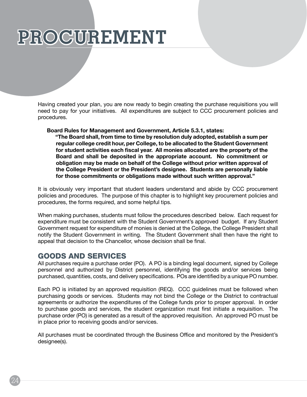# **Procurement**

Having created your plan, you are now ready to begin creating the purchase requisitions you will need to pay for your initiatives. All expenditures are subject to CCC procurement policies and procedures.

#### **Board Rules for Management and Government, Article 5.3.1, states:**

**"The Board shall, from time to time by resolution duly adopted, establish a sum per regular college credit hour, per College, to be allocated to the Student Government for student activities each fiscal year. All monies allocated are the property of the Board and shall be deposited in the appropriate account. No commitment or obligation may be made on behalf of the College without prior written approval of the College President or the President's designee. Students are personally liable for those commitments or obligations made without such written approval."**

It is obviously very important that student leaders understand and abide by CCC procurement policies and procedures. The purpose of this chapter is to highlight key procurement policies and procedures, the forms required, and some helpful tips.

When making purchases, students must follow the procedures described below. Each request for expenditure must be consistent with the Student Government's approved budget. If any Student Government request for expenditure of monies is denied at the College, the College President shall notify the Student Government in writing. The Student Government shall then have the right to appeal that decision to the Chancellor, whose decision shall be final.

## Goods and Services

All purchases require a purchase order (PO). A PO is a binding legal document, signed by College personnel and authorized by District personnel, identifying the goods and/or services being purchased, quantities, costs, and delivery specifications. POs are identified by a unique PO number.

Each PO is initiated by an approved requisition (REQ). CCC guidelines must be followed when purchasing goods or services. Students may not bind the College or the District to contractual agreements or authorize the expenditures of the College funds prior to proper approval. In order to purchase goods and services, the student organization must first initiate a requisition. The purchase order (PO) is generated as a result of the approved requisition. An approved PO must be in place prior to receiving goods and/or services.

All purchases must be coordinated through the Business Office and monitored by the President's designee(s).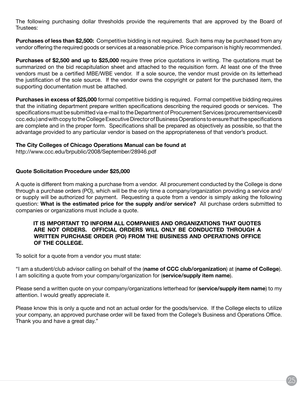The following purchasing dollar thresholds provide the requirements that are approved by the Board of Trustees:

**Purchases of less than \$2,500:** Competitive bidding is not required. Such items may be purchased from any vendor offering the required goods or services at a reasonable price. Price comparison is highly recommended.

**Purchases of \$2,500 and up to \$25,000** require three price quotations in writing. The quotations must be summarized on the bid recapitulation sheet and attached to the requisition form. At least one of the three vendors must be a certified MBE/WBE vendor. If a sole source, the vendor must provide on its letterhead the justification of the sole source. If the vendor owns the copyright or patent for the purchased item, the supporting documentation must be attached.

**Purchases in excess of \$25,000** formal competitive bidding is required. Formal competitive bidding requires that the initiating department prepare written specifications describing the required goods or services. The specifications must be submitted via e-mail to the Department of Procurement Services (procurementservices@ ccc.edu ) and with copy to the College Executive Director of Business Operations to ensure that the specifications are complete and in the proper form. Specifications shall be prepared as objectively as possible, so that the advantage provided to any particular vendor is based on the appropriateness of that vendor's product.

#### **The City Colleges of Chicago Operations Manual can be found at**

http://www.ccc.edu/brpublic/2008/September/28946.pdf

#### **Quote Solicitation Procedure under \$25,000**

A quote is different from making a purchase from a vendor. All procurement conducted by the College is done through a purchase orders (PO), which will be the only time a company/organization providing a service and/ or supply will be authorized for payment. Requesting a quote from a vendor is simply asking the following question: **What is the estimated price for the supply and/or service?** All purchase orders submitted to companies or organizations must include a quote.

### **IT IS IMPORTANT TO INFORM ALL COMPANIES AND ORGANIZATIONS THAT QUOTES ARE NOT ORDERS. OFFICIAL ORDERS WILL ONLY BE CONDUCTED THROUGH A WRITTEN PURCHASE ORDER (PO) FROM THE BUSINESS AND OPERATIONS OFFICE OF THE COLLEGE.**

To solicit for a quote from a vendor you must state:

"I am a student/club advisor calling on behalf of the (**name of CCC club/organization**) at (**name of College**). I am soliciting a quote from your company/organization for (**service/supply item name**).

Please send a written quote on your company/organizations letterhead for (**service/supply item name**) to my attention. I would greatly appreciate it.

Please know this is only a quote and not an actual order for the goods/service. If the College elects to utilize your company, an approved purchase order will be faxed from the College's Business and Operations Office. Thank you and have a great day."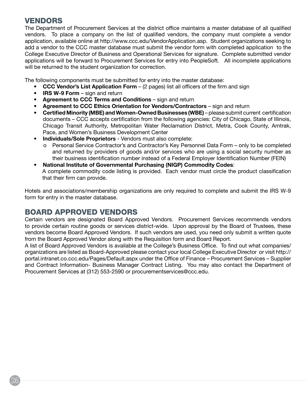# **VENDORS**

The Department of Procurement Services at the district office maintains a master database of all qualified vendors. To place a company on the list of qualified vendors, the company must complete a vendor application, available online at http://www.ccc.edu/VendorApplication.asp. Student organizations seeking to add a vendor to the CCC master database must submit the vendor form with completed application to the College Executive Director of Business and Operational Services for signature. Complete submitted vendor applications will be forward to Procurement Services for entry into PeopleSoft. All incomplete applications will be returned to the student organization for correction.

The following components must be submitted for entry into the master database:

- **CCC Vendor's List Application Form** (2 pages) list all officers of the firm and sign
- **IRS W-9 Form**  sign and return
- **Agreement to CCC Terms and Conditions** sign and return
- **Agreement to CCC Ethics Orientation for Vendors/Contractors** sign and return
- **Certified Minority (MBE) and Women-Owned Businesses (WBE)** please submit current certification documents – CCC accepts certification from the following agencies: City of Chicago, State of Illinois, Chicago Transit Authority, Metropolitan Water Reclamation District, Metra, Cook County, Amtrak, Pace, and Women's Business Development Center
- **Individuals/Sole Proprietors** Vendors must also complete:
	- o Personal Service Contractor's and Contractor's Key Personnel Data Form only to be completed and returned by providers of goods and/or services who are using a social security number as their business identification number instead of a Federal Employer Identification Number (FEIN)
- **National Institute of Governmental Purchasing (NIGP) Commodity Codes**: A complete commodity code listing is provided. Each vendor must circle the product classification that their firm can provide.

Hotels and associations/membership organizations are only required to complete and submit the IRS W-9 form for entry in the master database.

# Board Approved Vendors

Certain vendors are designated Board Approved Vendors. Procurement Services recommends vendors to provide certain routine goods or services district-wide. Upon approval by the Board of Trustees, these vendors become Board Approved Vendors. If such vendors are used, you need only submit a written quote from the Board Approved Vendor along with the Requisition form and Board Report.

A list of Board Approved Vendors is available at the College's Business Office. To find out what companies/ organizations are listed as Board-Approved please contact your local College Executive Director or visit http:// portal.intranet.co.ccc.edu/Pages/Default.aspx under the Office of Finance – Procurement Services – Supplier and Contract Information- Business Manager Contract Listing. You may also contact the Department of Procurement Services at (312) 553-2590 or procurementservices@ccc.edu.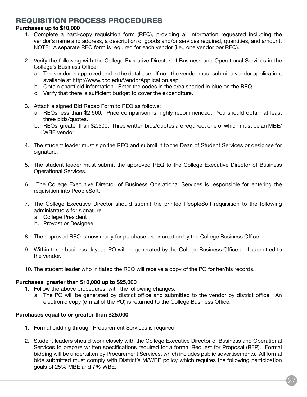# Requisition Process Procedures

## **Purchases up to \$10,000**

- 1. Complete a hard-copy requisition form (REQ), providing all information requested including the vendor's name and address, a description of goods and/or services required, quantities, and amount. NOTE: A separate REQ form is required for each vendor (i.e., one vendor per REQ).
- 2. Verify the following with the College Executive Director of Business and Operational Services in the College's Business Office:
	- a. The vendor is approved and in the database. If not, the vendor must submit a vendor application, available at http://www.ccc.edu/VendorApplication.asp
	- b. Obtain chartfield information. Enter the codes in the area shaded in blue on the REQ.
	- c. Verify that there is sufficient budget to cover the expenditure.
- 3. Attach a signed Bid Recap Form to REQ as follows:
	- a. REQs less than \$2,500: Price comparison is highly recommended. You should obtain at least three bids/quotes.
	- b. REQs greater than \$2,500: Three written bids/quotes are required, one of which must be an MBE/ WBE vendor
- 4. The student leader must sign the REQ and submit it to the Dean of Student Services or designee for signature.
- 5. The student leader must submit the approved REQ to the College Executive Director of Business Operational Services.
- 6. The College Executive Director of Business Operational Services is responsible for entering the requisition into PeopleSoft.
- 7. The College Executive Director should submit the printed PeopleSoft requisition to the following administrators for signature:
	- a. College President
	- b. Provost or Designee
- 8. The approved REQ is now ready for purchase order creation by the College Business Office.
- 9. Within three business days, a PO will be generated by the College Business Office and submitted to the vendor.
- 10. The student leader who initiated the REQ will receive a copy of the PO for her/his records.

## **Purchases greater than \$10,000 up to \$25,000**

- 1. Follow the above procedures, with the following changes:
	- a. The PO will be generated by district office and submitted to the vendor by district office. An electronic copy (e-mail of the PO) is returned to the College Business Office.

## **Purchases equal to or greater than \$25,000**

- 1. Formal bidding through Procurement Services is required.
- 2. Student leaders should work closely with the College Executive Director of Business and Operational Services to prepare written specifications required for a formal Request for Proposal (RFP). Formal bidding will be undertaken by Procurement Services, which includes public advertisements. All formal bids submitted must comply with District's M/WBE policy which requires the following participation goals of 25% MBE and 7% WBE.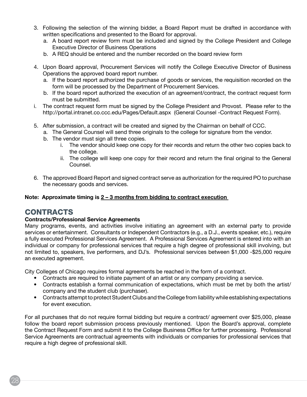- 3. Following the selection of the winning bidder, a Board Report must be drafted in accordance with written specifications and presented to the Board for approval.
	- a. A board report review form must be included and signed by the College President and College Executive Director of Business Operations
	- b. A REQ should be entered and the number recorded on the board review form
- 4. Upon Board approval, Procurement Services will notify the College Executive Director of Business Operations the approved board report number.
	- a. If the board report authorized the purchase of goods or services, the requisition recorded on the form will be processed by the Department of Procurement Services.
	- b. If the board report authorized the execution of an agreement/contract, the contract request form must be submitted.
- i. The contract request form must be signed by the College President and Provost. Please refer to the http://portal.intranet.co.ccc.edu/Pages/Default.aspx (General Counsel -Contract Request Form).
- 5. After submission, a contract will be created and signed by the Chairman on behalf of CCC.
	- a. The General Counsel will send three originals to the college for signature from the vendor.
	- b. The vendor must sign all three copies.
		- i. The vendor should keep one copy for their records and return the other two copies back to the college.
		- ii. The college will keep one copy for their record and return the final original to the General Counsel.
- 6. The approved Board Report and signed contract serve as authorization for the required PO to purchase the necessary goods and services.

## **Note: Approximate timing is 2 – 3 months from bidding to contract execution**

# **CONTRACTS**

## **Contracts/Professional Service Agreements**

Many programs, events, and activities involve initiating an agreement with an external party to provide services or entertainment. Consultants or Independent Contractors (e.g., a D.J., events speaker, etc.), require a fully executed Professional Services Agreement. A Professional Services Agreement is entered into with an individual or company for professional services that require a high degree of professional skill involving, but not limited to, speakers, live performers, and DJ's. Professional services between \$1,000 -\$25,000 require an executed agreement.

City Colleges of Chicago requires formal agreements be reached in the form of a contract.

- Contracts are required to initiate payment of an artist or any company providing a service.
- Contracts establish a formal communication of expectations, which must be met by both the artist/ company and the student club (purchaser).
- Contracts attempt to protect Student Clubs and the College from liability while establishing expectations for event execution.

For all purchases that do not require formal bidding but require a contract/ agreement over \$25,000, please follow the board report submission process previously mentioned. Upon the Board's approval, complete the Contract Request Form and submit it to the College Business Office for further processing. Professional Service Agreements are contractual agreements with individuals or companies for professional services that require a high degree of professional skill.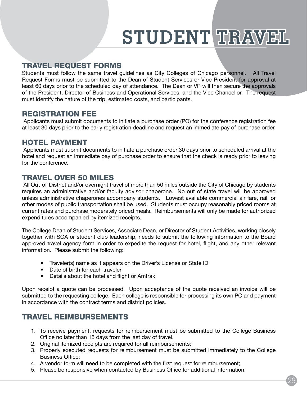# STUDENT TRAVEL

# Travel Request Forms

Students must follow the same travel guidelines as City Colleges of Chicago personnel. All Travel Request Forms must be submitted to the Dean of Student Services or Vice President for approval at least 60 days prior to the scheduled day of attendance. The Dean or VP will then secure the approvals of the President, Director of Business and Operational Services, and the Vice Chancellor. The request must identify the nature of the trip, estimated costs, and participants.

# Registration Fee

 Applicants must submit documents to initiate a purchase order (PO) for the conference registration fee at least 30 days prior to the early registration deadline and request an immediate pay of purchase order.

# Hotel Payment

 Applicants must submit documents to initiate a purchase order 30 days prior to scheduled arrival at the hotel and request an immediate pay of purchase order to ensure that the check is ready prior to leaving for the conference.

# Travel Over 50 Miles

 All Out-of-District and/or overnight travel of more than 50 miles outside the City of Chicago by students requires an administrative and/or faculty advisor chaperone. No out of state travel will be approved unless administrative chaperones accompany students. Lowest available commercial air fare, rail, or other modes of public transportation shall be used. Students must occupy reasonably priced rooms at current rates and purchase moderately priced meals. Reimbursements will only be made for authorized expenditures accompanied by itemized receipts.

The College Dean of Student Services, Associate Dean, or Director of Student Activities, working closely together with SGA or student club leadership, needs to submit the following information to the Board approved travel agency form in order to expedite the request for hotel, flight, and any other relevant information. Please submit the following:

- Traveler(s) name as it appears on the Driver's License or State ID
- Date of birth for each traveler
- Details about the hotel and flight or Amtrak

Upon receipt a quote can be processed. Upon acceptance of the quote received an invoice will be submitted to the requesting college. Each college is responsible for processing its own PO and payment in accordance with the contract terms and district policies.

# Travel Reimbursements

- 1. To receive payment, requests for reimbursement must be submitted to the College Business Office no later than 15 days from the last day of travel.
- 2. Original itemized receipts are required for all reimbursements;
- 3. Properly executed requests for reimbursement must be submitted immediately to the College Business Office;
- 4. A vendor form will need to be completed with the first request for reimbursement;
- 5. Please be responsive when contacted by Business Office for additional information.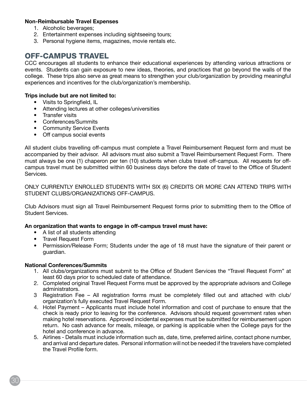## **Non-Reimbursable Travel Expenses**

- 1. Alcoholic beverages;
- 2. Entertainment expenses including sightseeing tours;
- 3. Personal hygiene items, magazines, movie rentals etc.

# Off-Campus Travel

CCC encourages all students to enhance their educational experiences by attending various attractions or events. Students can gain exposure to new ideas, theories, and practices that go beyond the walls of the college. These trips also serve as great means to strengthen your club/organization by providing meaningful experiences and incentives for the club/organization's membership.

### **Trips include but are not limited to:**

- Visits to Springfield, IL
- Attending lectures at other colleges/universities
- Transfer visits
- Conferences/Summits
- Community Service Events
- Off campus social events

All student clubs travelling off-campus must complete a Travel Reimbursement Request form and must be accompanied by their advisor. All advisors must also submit a Travel Reimbursement Request Form. There must always be one (1) chaperon per ten (10) students when clubs travel off-campus. All requests for offcampus travel must be submitted within 60 business days before the date of travel to the Office of Student Services.

ONLY CURRENTLY ENROLLED STUDENTS WITH SIX (6) CREDITS OR MORE CAN ATTEND TRIPS WITH STUDENT CLUBS/ORGANIZATIONS OFF-CAMPUS.

Club Advisors must sign all Travel Reimbursement Request forms prior to submitting them to the Office of Student Services.

## **An organization that wants to engage in off-campus travel must have:**

- A list of all students attending
- Travel Request Form
- Permission/Release Form; Students under the age of 18 must have the signature of their parent or guardian.

#### **National Conferences/Summits**

- 1. All clubs/organizations must submit to the Office of Student Services the "Travel Request Form" at least 60 days prior to scheduled date of attendance.
- 2. Completed original Travel Request Forms must be approved by the appropriate advisors and College administrators.
- 3 Registration Fee All registration forms must be completely filled out and attached with club/ organization's fully executed Travel Request Form.
- 4. Hotel Payment Applicants must include hotel information and cost of purchase to ensure that the check is ready prior to leaving for the conference. Advisors should request government rates when making hotel reservations. Approved incidental expenses must be submitted for reimbursement upon return. No cash advance for meals, mileage, or parking is applicable when the College pays for the hotel and conference in advance.
- 5. Airlines Details must include information such as, date, time, preferred airline, contact phone number, and arrival and departure dates. Personal information will not be needed if the travelers have completed the Travel Profile form.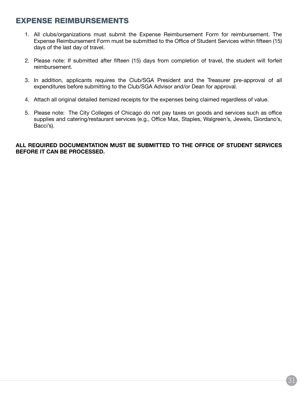# EXPENSE Reimbursements

- 1. All clubs/organizations must submit the Expense Reimbursement Form for reimbursement. The Expense Reimbursement Form must be submitted to the Office of Student Services within fifteen (15) days of the last day of travel.
- 2. Please note: If submitted after fifteen (15) days from completion of travel, the student will forfeit reimbursement.
- 3. In addition, applicants requires the Club/SGA President and the Treasurer pre-approval of all expenditures before submitting to the Club/SGA Advisor and/or Dean for approval.
- 4. Attach all original detailed itemized receipts for the expenses being claimed regardless of value.
- 5. Please note: The City Colleges of Chicago do not pay taxes on goods and services such as office supplies and catering/restaurant services (e.g., Office Max, Staples, Walgreen's, Jewels, Giordano's, Bacci's).

## **ALL REQUIRED DOCUMENTATION MUST BE SUBMITTED TO THE OFFICE OF STUDENT SERVICES BEFORE IT CAN BE PROCESSED.**